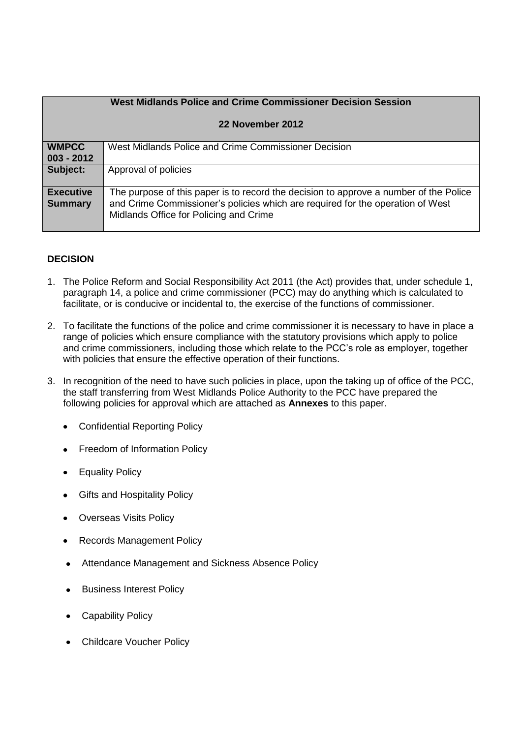|                                    | <b>West Midlands Police and Crime Commissioner Decision Session</b>                                                                                                                                               |  |
|------------------------------------|-------------------------------------------------------------------------------------------------------------------------------------------------------------------------------------------------------------------|--|
| 22 November 2012                   |                                                                                                                                                                                                                   |  |
| <b>WMPCC</b><br>$003 - 2012$       | West Midlands Police and Crime Commissioner Decision                                                                                                                                                              |  |
| Subject:                           | Approval of policies                                                                                                                                                                                              |  |
| <b>Executive</b><br><b>Summary</b> | The purpose of this paper is to record the decision to approve a number of the Police<br>and Crime Commissioner's policies which are required for the operation of West<br>Midlands Office for Policing and Crime |  |

## **DECISION**

- 1. The Police Reform and Social Responsibility Act 2011 (the Act) provides that, under schedule 1, paragraph 14, a police and crime commissioner (PCC) may do anything which is calculated to facilitate, or is conducive or incidental to, the exercise of the functions of commissioner.
- 2. To facilitate the functions of the police and crime commissioner it is necessary to have in place a range of policies which ensure compliance with the statutory provisions which apply to police and crime commissioners, including those which relate to the PCC's role as employer, together with policies that ensure the effective operation of their functions.
- 3. In recognition of the need to have such policies in place, upon the taking up of office of the PCC, the staff transferring from West Midlands Police Authority to the PCC have prepared the following policies for approval which are attached as **Annexes** to this paper.
	- Confidential Reporting Policy
	- Freedom of Information Policy
	- Equality Policy
	- Gifts and Hospitality Policy
	- Overseas Visits Policy
	- Records Management Policy
	- Attendance Management and Sickness Absence Policy
	- Business Interest Policy  $\bullet$
	- Capability Policy
	- Childcare Voucher Policy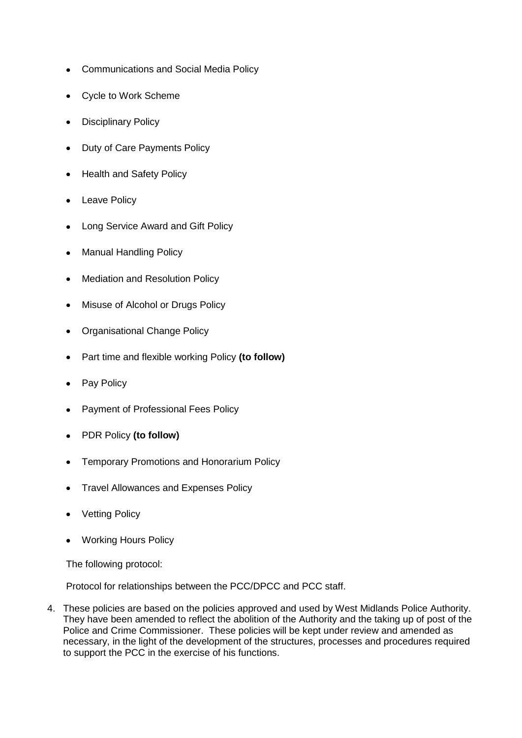- Communications and Social Media Policy  $\bullet$
- Cycle to Work Scheme
- Disciplinary Policy  $\bullet$
- Duty of Care Payments Policy  $\bullet$
- Health and Safety Policy
- Leave Policy
- Long Service Award and Gift Policy
- Manual Handling Policy  $\bullet$
- Mediation and Resolution Policy
- Misuse of Alcohol or Drugs Policy  $\bullet$
- Organisational Change Policy  $\bullet$
- Part time and flexible working Policy **(to follow)**  $\bullet$
- Pay Policy
- Payment of Professional Fees Policy  $\bullet$
- PDR Policy **(to follow)**  $\bullet$
- Temporary Promotions and Honorarium Policy  $\bullet$
- Travel Allowances and Expenses Policy
- Vetting Policy
- Working Hours Policy  $\bullet$

The following protocol:

Protocol for relationships between the PCC/DPCC and PCC staff.

4. These policies are based on the policies approved and used by West Midlands Police Authority. They have been amended to reflect the abolition of the Authority and the taking up of post of the Police and Crime Commissioner. These policies will be kept under review and amended as necessary, in the light of the development of the structures, processes and procedures required to support the PCC in the exercise of his functions.